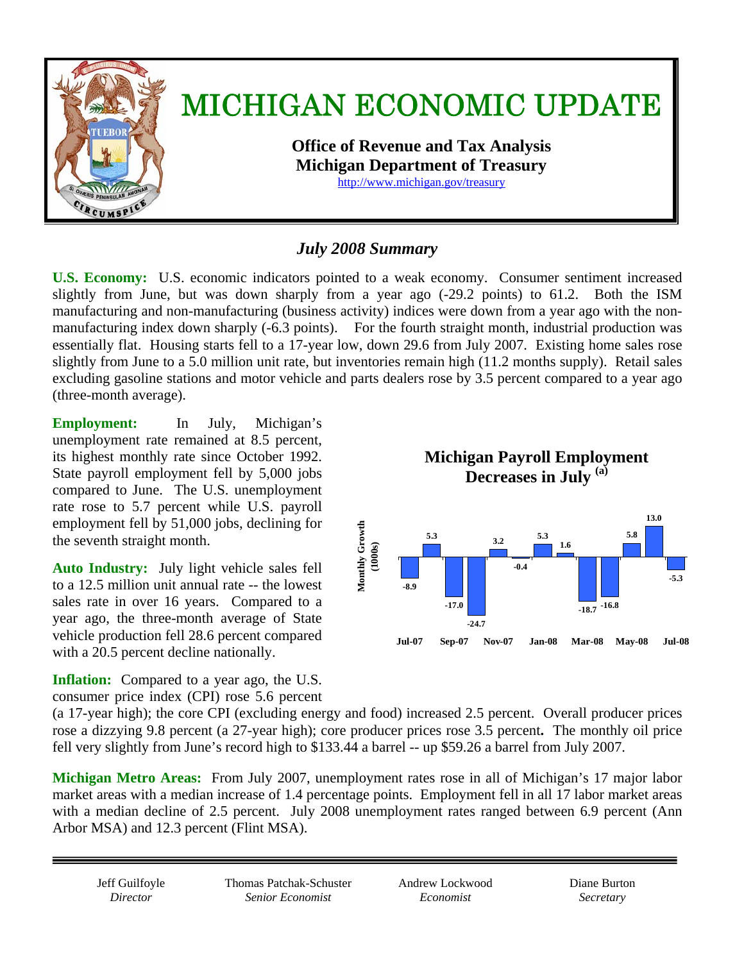

# *July 2008 Summary*

**U.S. Economy:** U.S. economic indicators pointed to a weak economy. Consumer sentiment increased slightly from June, but was down sharply from a year ago (-29.2 points) to 61.2. Both the ISM manufacturing and non-manufacturing (business activity) indices were down from a year ago with the nonmanufacturing index down sharply (-6.3 points). For the fourth straight month, industrial production was essentially flat. Housing starts fell to a 17-year low, down 29.6 from July 2007. Existing home sales rose slightly from June to a 5.0 million unit rate, but inventories remain high (11.2 months supply). Retail sales excluding gasoline stations and motor vehicle and parts dealers rose by 3.5 percent compared to a year ago (three-month average).

**Employment:** In July, Michigan's unemployment rate remained at 8.5 percent, its highest monthly rate since October 1992. State payroll employment fell by 5,000 jobs compared to June. The U.S. unemployment rate rose to 5.7 percent while U.S. payroll employment fell by 51,000 jobs, declining for the seventh straight month.

**Auto Industry:** July light vehicle sales fell to a 12.5 million unit annual rate -- the lowest sales rate in over 16 years. Compared to a year ago, the three-month average of State vehicle production fell 28.6 percent compared with a 20.5 percent decline nationally.

**Inflation:** Compared to a year ago, the U.S. consumer price index (CPI) rose 5.6 percent



(a 17-year high); the core CPI (excluding energy and food) increased 2.5 percent. Overall producer prices rose a dizzying 9.8 percent (a 27-year high); core producer prices rose 3.5 percent**.** The monthly oil price fell very slightly from June's record high to \$133.44 a barrel -- up \$59.26 a barrel from July 2007.

**Michigan Metro Areas:** From July 2007, unemployment rates rose in all of Michigan's 17 major labor market areas with a median increase of 1.4 percentage points. Employment fell in all 17 labor market areas with a median decline of 2.5 percent. July 2008 unemployment rates ranged between 6.9 percent (Ann Arbor MSA) and 12.3 percent (Flint MSA).

Thomas Patchak-Schuster *Senior Economist* 

Andrew Lockwood *Economist* 

Diane Burton *Secretary*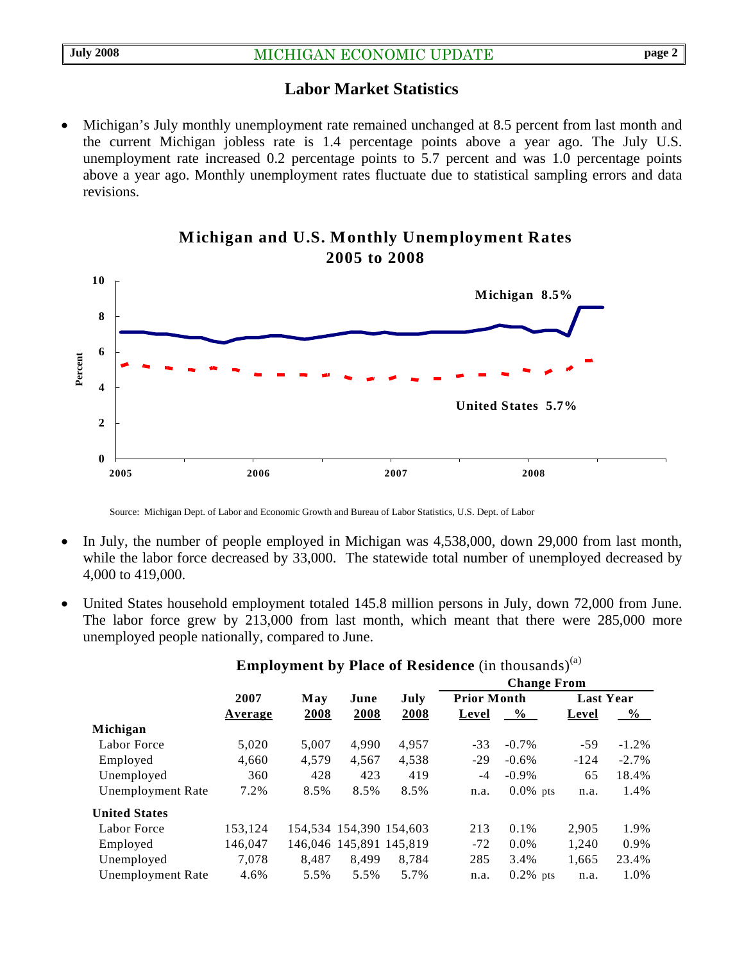## **Labor Market Statistics**

• Michigan's July monthly unemployment rate remained unchanged at 8.5 percent from last month and the current Michigan jobless rate is 1.4 percentage points above a year ago. The July U.S. unemployment rate increased 0.2 percentage points to 5.7 percent and was 1.0 percentage points above a year ago. Monthly unemployment rates fluctuate due to statistical sampling errors and data revisions.





Source: Michigan Dept. of Labor and Economic Growth and Bureau of Labor Statistics, U.S. Dept. of Labor

- In July, the number of people employed in Michigan was 4,538,000, down 29,000 from last month, while the labor force decreased by 33,000. The statewide total number of unemployed decreased by 4,000 to 419,000.
- United States household employment totaled 145.8 million persons in July, down 72,000 from June. The labor force grew by 213,000 from last month, which meant that there were 285,000 more unemployed people nationally, compared to June.

|                          |         | May   | June                    | July                    | <b>Change From</b> |             |                  |          |
|--------------------------|---------|-------|-------------------------|-------------------------|--------------------|-------------|------------------|----------|
|                          | 2007    |       |                         |                         | <b>Prior Month</b> |             | <b>Last Year</b> |          |
|                          | Average | 2008  | 2008                    | 2008                    | Level              | $\%$        | Level            | $\%$     |
| Michigan                 |         |       |                         |                         |                    |             |                  |          |
| Labor Force              | 5,020   | 5.007 | 4.990                   | 4.957                   | $-33$              | $-0.7\%$    | $-59$            | $-1.2\%$ |
| Employed                 | 4,660   | 4,579 | 4,567                   | 4,538                   | $-29$              | $-0.6\%$    | $-124$           | $-2.7\%$ |
| Unemployed               | 360     | 428   | 423                     | 419                     | -4                 | $-0.9\%$    | 65               | 18.4%    |
| <b>Unemployment Rate</b> | 7.2%    | 8.5%  | 8.5%                    | 8.5%                    | n.a.               | $0.0\%$ pts | n.a.             | 1.4%     |
| <b>United States</b>     |         |       |                         |                         |                    |             |                  |          |
| Labor Force              | 153,124 |       |                         | 154,534 154,390 154,603 | 213                | 0.1%        | 2,905            | 1.9%     |
| Employed                 | 146,047 |       | 146,046 145,891 145,819 |                         | $-72$              | $0.0\%$     | 1,240            | 0.9%     |
| Unemployed               | 7.078   | 8.487 | 8.499                   | 8.784                   | 285                | 3.4%        | 1,665            | 23.4%    |
| <b>Unemployment Rate</b> | 4.6%    | 5.5%  | 5.5%                    | 5.7%                    | n.a.               | $0.2\%$ pts | n.a.             | 1.0%     |
|                          |         |       |                         |                         |                    |             |                  |          |

**Employment by Place of Residence** (in thousands)<sup>(a)</sup>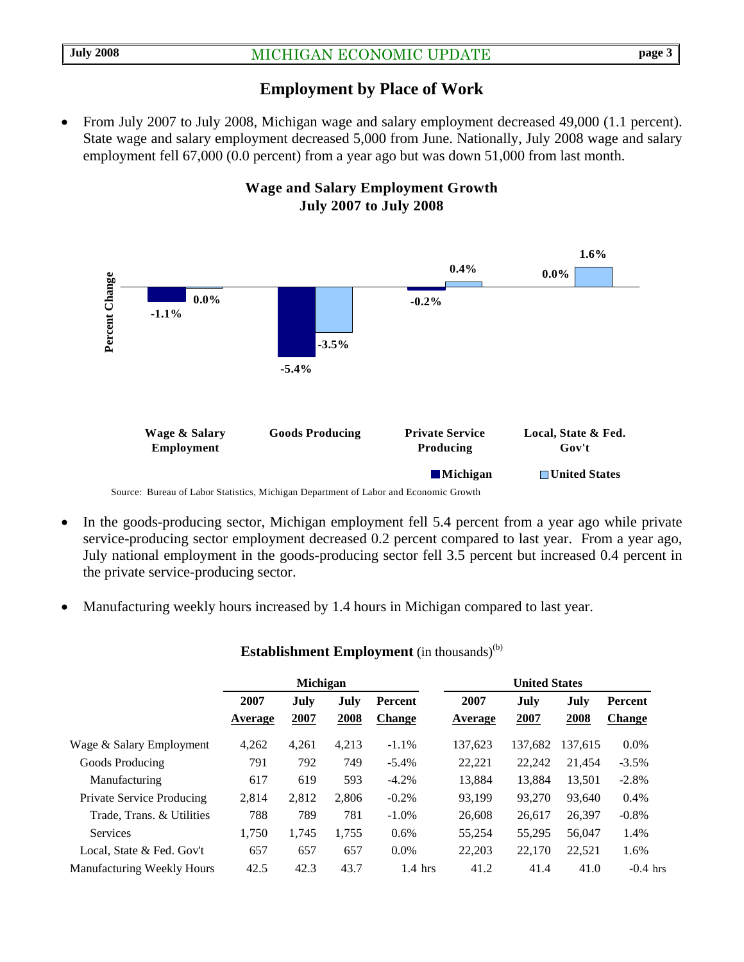## **Employment by Place of Work**

• From July 2007 to July 2008, Michigan wage and salary employment decreased 49,000 (1.1 percent). State wage and salary employment decreased 5,000 from June. Nationally, July 2008 wage and salary employment fell 67,000 (0.0 percent) from a year ago but was down 51,000 from last month.



- In the goods-producing sector, Michigan employment fell 5.4 percent from a year ago while private service-producing sector employment decreased 0.2 percent compared to last year. From a year ago, July national employment in the goods-producing sector fell 3.5 percent but increased 0.4 percent in the private service-producing sector.
- Manufacturing weekly hours increased by 1.4 hours in Michigan compared to last year.

|                                   | <b>Michigan</b> |              |              |                          | <b>United States</b> |              |              |                          |  |
|-----------------------------------|-----------------|--------------|--------------|--------------------------|----------------------|--------------|--------------|--------------------------|--|
|                                   | 2007<br>Average | July<br>2007 | July<br>2008 | Percent<br><b>Change</b> | 2007<br>Average      | July<br>2007 | July<br>2008 | Percent<br><b>Change</b> |  |
| Wage & Salary Employment          | 4,262           | 4,261        | 4,213        | $-1.1%$                  | 137.623              | 137.682      | 137.615      | $0.0\%$                  |  |
| Goods Producing                   | 791             | 792          | 749          | $-5.4\%$                 | 22,221               | 22,242       | 21.454       | $-3.5\%$                 |  |
| Manufacturing                     | 617             | 619          | 593          | $-4.2%$                  | 13.884               | 13.884       | 13.501       | $-2.8%$                  |  |
| <b>Private Service Producing</b>  | 2.814           | 2,812        | 2.806        | $-0.2%$                  | 93.199               | 93,270       | 93,640       | 0.4%                     |  |
| Trade. Trans. & Utilities         | 788             | 789          | 781          | $-1.0\%$                 | 26,608               | 26,617       | 26,397       | $-0.8%$                  |  |
| <b>Services</b>                   | 1,750           | 1,745        | 1,755        | 0.6%                     | 55,254               | 55,295       | 56,047       | 1.4%                     |  |
| Local, State & Fed. Gov't         | 657             | 657          | 657          | $0.0\%$                  | 22,203               | 22,170       | 22,521       | 1.6%                     |  |
| <b>Manufacturing Weekly Hours</b> | 42.5            | 42.3         | 43.7         | $1.4$ hrs                | 41.2                 | 41.4         | 41.0         | $-0.4$ hrs               |  |

#### **Establishment Employment** (in thousands)<sup>(b)</sup>

## **Wage and Salary Employment Growth July 2007 to July 2008**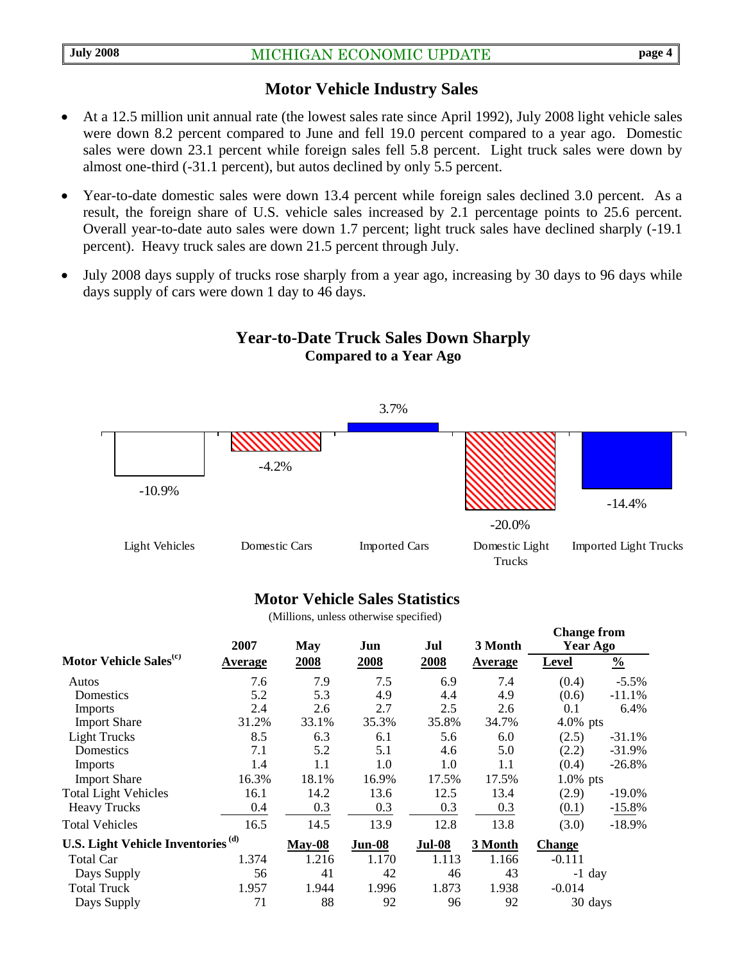### **Motor Vehicle Industry Sales**

- At a 12.5 million unit annual rate (the lowest sales rate since April 1992), July 2008 light vehicle sales were down 8.2 percent compared to June and fell 19.0 percent compared to a year ago. Domestic sales were down 23.1 percent while foreign sales fell 5.8 percent. Light truck sales were down by almost one-third (-31.1 percent), but autos declined by only 5.5 percent.
- Year-to-date domestic sales were down 13.4 percent while foreign sales declined 3.0 percent. As a result, the foreign share of U.S. vehicle sales increased by 2.1 percentage points to 25.6 percent. Overall year-to-date auto sales were down 1.7 percent; light truck sales have declined sharply (-19.1 percent). Heavy truck sales are down 21.5 percent through July.
- July 2008 days supply of trucks rose sharply from a year ago, increasing by 30 days to 96 days while days supply of cars were down 1 day to 46 days.



# **Year-to-Date Truck Sales Down Sharply Compared to a Year Ago**

### **Motor Vehicle Sales Statistics**

(Millions, unless otherwise specified)

|                                               | 2007           | <b>May</b> | Jun           | Jul           | 3 Month        | Unange n om<br>Year Ago |               |
|-----------------------------------------------|----------------|------------|---------------|---------------|----------------|-------------------------|---------------|
| Motor Vehicle Sales <sup>(c)</sup>            | <b>Average</b> | 2008       | 2008          | 2008          | <b>Average</b> | <b>Level</b>            | $\frac{0}{0}$ |
| Autos                                         | 7.6            | 7.9        | 7.5           | 6.9           | 7.4            | (0.4)                   | $-5.5\%$      |
| Domestics                                     | 5.2            | 5.3        | 4.9           | 4.4           | 4.9            | (0.6)                   | $-11.1%$      |
| Imports                                       | 2.4            | 2.6        | 2.7           | 2.5           | 2.6            | 0.1                     | 6.4%          |
| <b>Import Share</b>                           | 31.2%          | 33.1%      | 35.3%         | 35.8%         | 34.7%          | $4.0\%$ pts             |               |
| <b>Light Trucks</b>                           | 8.5            | 6.3        | 6.1           | 5.6           | 6.0            | (2.5)                   | $-31.1%$      |
| Domestics                                     | 7.1            | 5.2        | 5.1           | 4.6           | 5.0            | (2.2)                   | $-31.9%$      |
| <b>Imports</b>                                | 1.4            | 1.1        | 1.0           | 1.0           | 1.1            | (0.4)                   | $-26.8%$      |
| <b>Import Share</b>                           | 16.3%          | 18.1%      | 16.9%         | 17.5%         | 17.5%          | $1.0\%$ pts             |               |
| <b>Total Light Vehicles</b>                   | 16.1           | 14.2       | 13.6          | 12.5          | 13.4           | (2.9)                   | $-19.0\%$     |
| <b>Heavy Trucks</b>                           | 0.4            | 0.3        | 0.3           | 0.3           | 0.3            | (0.1)                   | $-15.8%$      |
| <b>Total Vehicles</b>                         | 16.5           | 14.5       | 13.9          | 12.8          | 13.8           | (3.0)                   | $-18.9%$      |
| U.S. Light Vehicle Inventories <sup>(d)</sup> |                | $May-08$   | <b>Jun-08</b> | <b>Jul-08</b> | 3 Month        | <b>Change</b>           |               |
| Total Car                                     | 1.374          | 1.216      | 1.170         | 1.113         | 1.166          | $-0.111$                |               |
| Days Supply                                   | 56             | 41         | 42            | 46            | 43             | -1 day                  |               |
| <b>Total Truck</b>                            | 1.957          | 1.944      | 1.996         | 1.873         | 1.938          | $-0.014$                |               |
| Days Supply                                   | 71             | 88         | 92            | 96            | 92             | 30 days                 |               |

**Change from**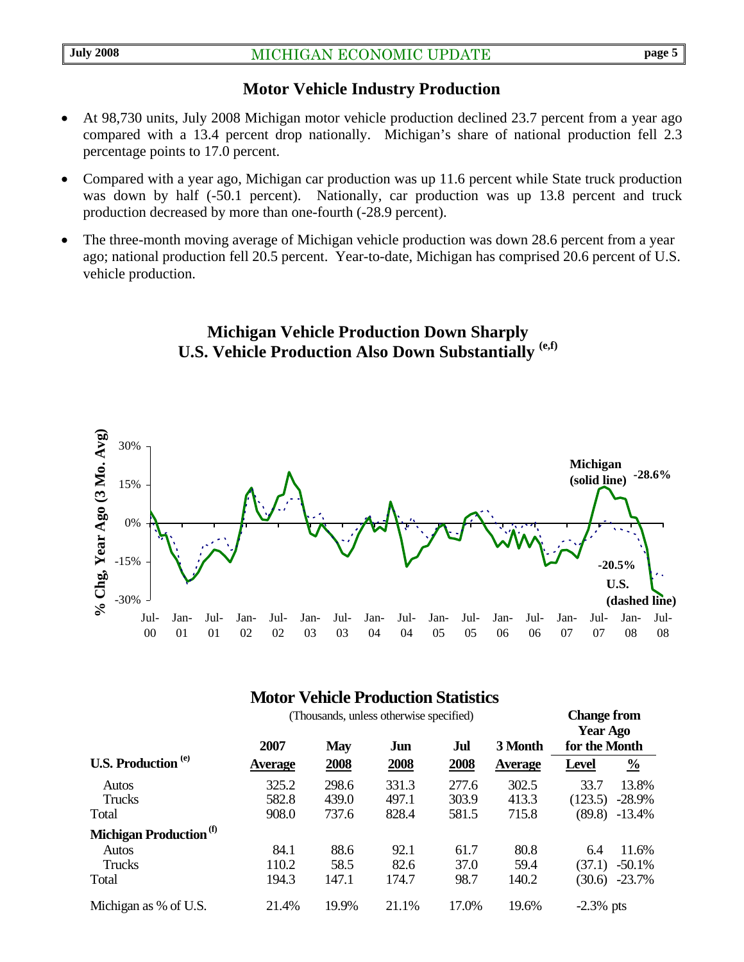# **Motor Vehicle Industry Production**

- At 98,730 units, July 2008 Michigan motor vehicle production declined 23.7 percent from a year ago compared with a 13.4 percent drop nationally. Michigan's share of national production fell 2.3 percentage points to 17.0 percent.
- Compared with a year ago, Michigan car production was up 11.6 percent while State truck production was down by half (-50.1 percent). Nationally, car production was up 13.8 percent and truck production decreased by more than one-fourth (-28.9 percent).
- The three-month moving average of Michigan vehicle production was down 28.6 percent from a year ago; national production fell 20.5 percent. Year-to-date, Michigan has comprised 20.6 percent of U.S. vehicle production.

# **Michigan Vehicle Production Down Sharply U.S. Vehicle Production Also Down Substantially (e,f)**



# **Motor Vehicle Production Statistics**

|                                    | (Thousands, unless otherwise specified) |            |       |       |                |               | <b>Change from</b><br><b>Year Ago</b> |  |
|------------------------------------|-----------------------------------------|------------|-------|-------|----------------|---------------|---------------------------------------|--|
|                                    | 2007                                    | <b>May</b> | Jun   | Jul   | 3 Month        | for the Month |                                       |  |
| <b>U.S. Production</b> (e)         | <b>Average</b>                          | 2008       | 2008  | 2008  | <b>Average</b> | <b>Level</b>  | $\frac{0}{0}$                         |  |
| Autos                              | 325.2                                   | 298.6      | 331.3 | 277.6 | 302.5          | 33.7          | 13.8%                                 |  |
| Trucks                             | 582.8                                   | 439.0      | 497.1 | 303.9 | 413.3          | (123.5)       | $-28.9%$                              |  |
| Total                              | 908.0                                   | 737.6      | 828.4 | 581.5 | 715.8          | (89.8)        | $-13.4%$                              |  |
| Michigan Production <sup>(f)</sup> |                                         |            |       |       |                |               |                                       |  |
| Autos                              | 84.1                                    | 88.6       | 92.1  | 61.7  | 80.8           | 6.4           | 11.6%                                 |  |
| Trucks                             | 110.2                                   | 58.5       | 82.6  | 37.0  | 59.4           | (37.1)        | $-50.1%$                              |  |
| Total                              | 194.3                                   | 147.1      | 174.7 | 98.7  | 140.2          | (30.6)        | $-23.7%$                              |  |
| Michigan as % of U.S.              | 21.4%                                   | 19.9%      | 21.1% | 17.0% | 19.6%          | $-2.3\%$ pts  |                                       |  |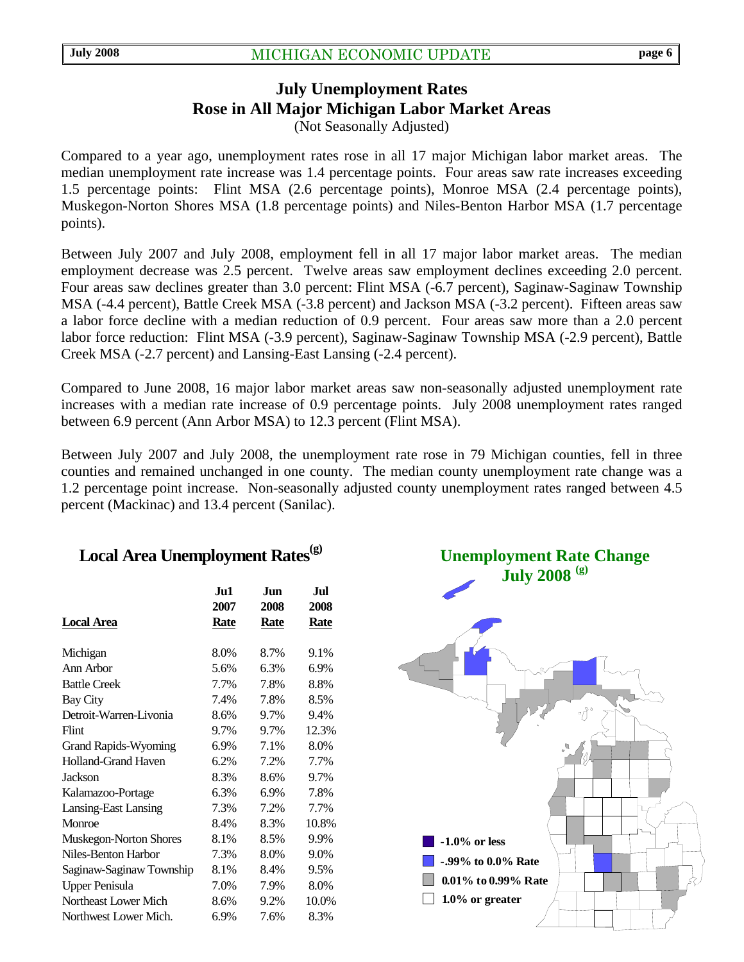# **July Unemployment Rates Rose in All Major Michigan Labor Market Areas**  (Not Seasonally Adjusted)

Compared to a year ago, unemployment rates rose in all 17 major Michigan labor market areas. The median unemployment rate increase was 1.4 percentage points. Four areas saw rate increases exceeding 1.5 percentage points: Flint MSA (2.6 percentage points), Monroe MSA (2.4 percentage points), Muskegon-Norton Shores MSA (1.8 percentage points) and Niles-Benton Harbor MSA (1.7 percentage points).

Between July 2007 and July 2008, employment fell in all 17 major labor market areas. The median employment decrease was 2.5 percent. Twelve areas saw employment declines exceeding 2.0 percent. Four areas saw declines greater than 3.0 percent: Flint MSA (-6.7 percent), Saginaw-Saginaw Township MSA (-4.4 percent), Battle Creek MSA (-3.8 percent) and Jackson MSA (-3.2 percent). Fifteen areas saw a labor force decline with a median reduction of 0.9 percent. Four areas saw more than a 2.0 percent labor force reduction: Flint MSA (-3.9 percent), Saginaw-Saginaw Township MSA (-2.9 percent), Battle Creek MSA (-2.7 percent) and Lansing-East Lansing (-2.4 percent).

Compared to June 2008, 16 major labor market areas saw non-seasonally adjusted unemployment rate increases with a median rate increase of 0.9 percentage points. July 2008 unemployment rates ranged between 6.9 percent (Ann Arbor MSA) to 12.3 percent (Flint MSA).

Between July 2007 and July 2008, the unemployment rate rose in 79 Michigan counties, fell in three counties and remained unchanged in one county. The median county unemployment rate change was a 1.2 percentage point increase.Non-seasonally adjusted county unemployment rates ranged between 4.5 percent (Mackinac) and 13.4 percent (Sanilac).

# Local Area Unemployment Rates<sup>(g)</sup>

|                               | Ju1<br>2007 | Jun<br>2008 | Jul<br>2008 |
|-------------------------------|-------------|-------------|-------------|
| Local Area                    | <b>Rate</b> | <b>Rate</b> | <b>Rate</b> |
| Michigan                      | 8.0%        | 8.7%        | 9.1%        |
| Ann Arbor                     | 5.6%        | 6.3%        | 6.9%        |
| <b>Battle Creek</b>           | 7.7%        | 7.8%        | 8.8%        |
| Bay City                      | 7.4%        | 7.8%        | 8.5%        |
| Detroit-Warren-Livonia        | 8.6%        | 9.7%        | 9.4%        |
| Flint                         | 9.7%        | 9.7%        | 12.3%       |
| <b>Grand Rapids-Wyoming</b>   | 6.9%        | 7.1%        | 8.0%        |
| <b>Holland-Grand Haven</b>    | 6.2%        | 7.2%        | 7.7%        |
| Jackson                       | 8.3%        | 8.6%        | 9.7%        |
| Kalamazoo-Portage             | 6.3%        | 6.9%        | 7.8%        |
| Lansing-East Lansing          | 7.3%        | 7.2%        | 7.7%        |
| Monroe                        | 8.4%        | 8.3%        | 10.8%       |
| <b>Muskegon-Norton Shores</b> | 8.1%        | 8.5%        | 9.9%        |
| Niles-Benton Harbor           | 7.3%        | 8.0%        | 9.0%        |
| Saginaw-Saginaw Township      | 8.1%        | 8.4%        | 9.5%        |
| <b>Upper Penisula</b>         | 7.0%        | 7.9%        | 8.0%        |
| Northeast Lower Mich          | 8.6%        | 9.2%        | 10.0%       |
| Northwest Lower Mich.         | 6.9%        | 7.6%        | 8.3%        |

**Unemployment Rate Change July 2008 (g)**

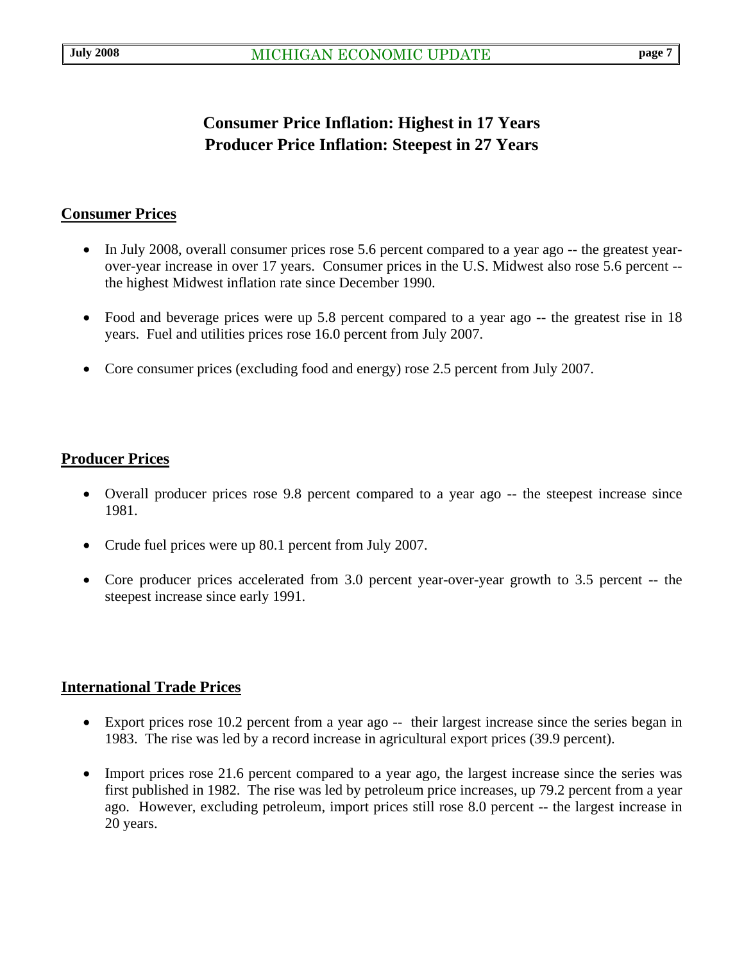# **Consumer Price Inflation: Highest in 17 Years Producer Price Inflation: Steepest in 27 Years**

### **Consumer Prices**

- In July 2008, overall consumer prices rose 5.6 percent compared to a year ago -- the greatest yearover-year increase in over 17 years. Consumer prices in the U.S. Midwest also rose 5.6 percent - the highest Midwest inflation rate since December 1990.
- Food and beverage prices were up 5.8 percent compared to a year ago -- the greatest rise in 18 years. Fuel and utilities prices rose 16.0 percent from July 2007.
- Core consumer prices (excluding food and energy) rose 2.5 percent from July 2007.

### **Producer Prices**

- Overall producer prices rose 9.8 percent compared to a year ago -- the steepest increase since 1981.
- Crude fuel prices were up 80.1 percent from July 2007.
- Core producer prices accelerated from 3.0 percent year-over-year growth to 3.5 percent -- the steepest increase since early 1991.

### **International Trade Prices**

- Export prices rose 10.2 percent from a year ago -- their largest increase since the series began in 1983. The rise was led by a record increase in agricultural export prices (39.9 percent).
- Import prices rose 21.6 percent compared to a year ago, the largest increase since the series was first published in 1982. The rise was led by petroleum price increases, up 79.2 percent from a year ago. However, excluding petroleum, import prices still rose 8.0 percent -- the largest increase in 20 years.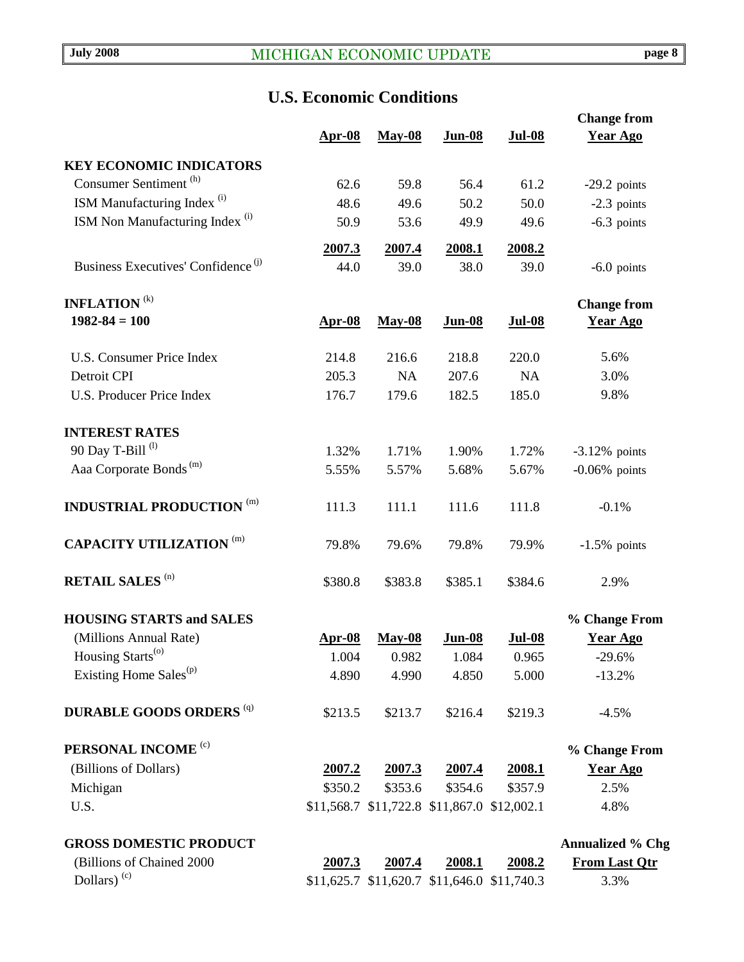# **U.S. Economic Conditions**

|                                                |               |               |                                             |               | <b>Change from</b>      |
|------------------------------------------------|---------------|---------------|---------------------------------------------|---------------|-------------------------|
|                                                | $Apr-08$      | <b>May-08</b> | <b>Jun-08</b>                               | <b>Jul-08</b> | <b>Year Ago</b>         |
| <b>KEY ECONOMIC INDICATORS</b>                 |               |               |                                             |               |                         |
| Consumer Sentiment <sup>(h)</sup>              | 62.6          | 59.8          | 56.4                                        | 61.2          | $-29.2$ points          |
| ISM Manufacturing Index <sup>(i)</sup>         | 48.6          | 49.6          | 50.2                                        | 50.0          | $-2.3$ points           |
| ISM Non Manufacturing Index <sup>(i)</sup>     | 50.9          | 53.6          | 49.9                                        | 49.6          | $-6.3$ points           |
|                                                | 2007.3        | 2007.4        | 2008.1                                      | 2008.2        |                         |
| Business Executives' Confidence <sup>(j)</sup> | 44.0          | 39.0          | 38.0                                        | 39.0          | $-6.0$ points           |
| <b>INFLATION</b> <sup>(k)</sup>                |               |               |                                             |               | <b>Change from</b>      |
| $1982 - 84 = 100$                              | <b>Apr-08</b> | <b>May-08</b> | <b>Jun-08</b>                               | <b>Jul-08</b> | <b>Year Ago</b>         |
| <b>U.S. Consumer Price Index</b>               | 214.8         | 216.6         | 218.8                                       | 220.0         | 5.6%                    |
| Detroit CPI                                    | 205.3         | NA            | 207.6                                       | NA            | 3.0%                    |
| <b>U.S. Producer Price Index</b>               | 176.7         | 179.6         | 182.5                                       | 185.0         | 9.8%                    |
| <b>INTEREST RATES</b>                          |               |               |                                             |               |                         |
| 90 Day T-Bill <sup>(l)</sup>                   | 1.32%         | 1.71%         | 1.90%                                       | 1.72%         | $-3.12\%$ points        |
| Aaa Corporate Bonds <sup>(m)</sup>             | 5.55%         | 5.57%         | 5.68%                                       | 5.67%         | $-0.06\%$ points        |
| <b>INDUSTRIAL PRODUCTION (m)</b>               | 111.3         | 111.1         | 111.6                                       | 111.8         | $-0.1%$                 |
| <b>CAPACITY UTILIZATION (m)</b>                | 79.8%         | 79.6%         | 79.8%                                       | 79.9%         | $-1.5\%$ points         |
| <b>RETAIL SALES (n)</b>                        | \$380.8       | \$383.8       | \$385.1                                     | \$384.6       | 2.9%                    |
| <b>HOUSING STARTS and SALES</b>                |               |               |                                             |               | % Change From           |
| (Millions Annual Rate)                         | $Apr-08$      | <b>May-08</b> | <b>Jun-08</b>                               | <b>Jul-08</b> | <b>Year Ago</b>         |
| Housing Starts <sup>(o)</sup>                  | 1.004         | 0.982         | 1.084                                       | 0.965         | $-29.6%$                |
| Existing Home Sales <sup>(p)</sup>             | 4.890         | 4.990         | 4.850                                       | 5.000         | $-13.2%$                |
| <b>DURABLE GOODS ORDERS (q)</b>                | \$213.5       | \$213.7       | \$216.4                                     | \$219.3       | $-4.5%$                 |
| PERSONAL INCOME <sup>(c)</sup>                 |               |               |                                             |               | % Change From           |
| (Billions of Dollars)                          | 2007.2        | 2007.3        | <u>2007.4</u>                               | 2008.1        | <b>Year Ago</b>         |
| Michigan                                       | \$350.2       | \$353.6       | \$354.6                                     | \$357.9       | 2.5%                    |
| U.S.                                           |               |               | \$11,568.7 \$11,722.8 \$11,867.0 \$12,002.1 |               | 4.8%                    |
| <b>GROSS DOMESTIC PRODUCT</b>                  |               |               |                                             |               | <b>Annualized % Chg</b> |
| (Billions of Chained 2000                      | 2007.3        | 2007.4        | 2008.1                                      | 2008.2        | <b>From Last Qtr</b>    |

Dollars) (c)  $$11,625.7 \$11,620.7 \$11,646.0 \$11,740.3$   $3.3\%$